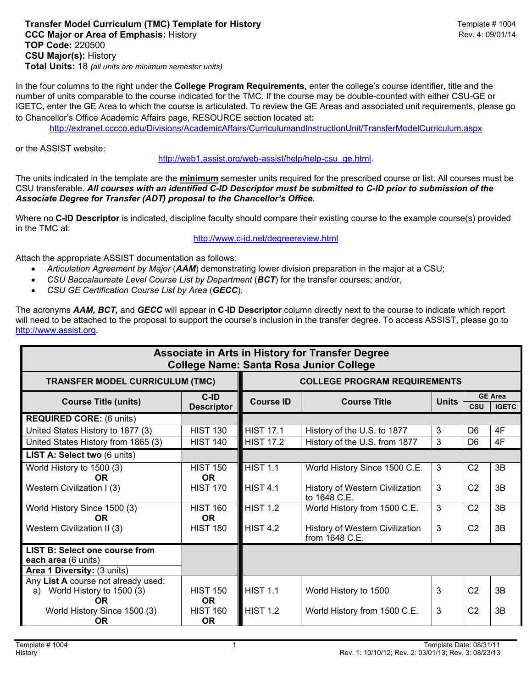## **Transfer Model Curriculum (TMC) Template for History Material Contract Contract Contract Template # 1004 CCC Major or Area of Emphasis: History Rev. 4: 09/01/14 TOP Code:** 220500 **CSU Major(s):** History **Total Units:** 18 *(all units are minimum semester units)*

In the four columns to the right under the **College Program Requirements**, enter the college's course identifier, title and the number of units comparable to the course indicated for the TMC. If the course may be double-counted with either CSU-GE or IGETC, enter the GE Area to which the course is articulated. To review the GE Areas and associated unit requirements, please go to Chancellor's Office Academic Affairs page, RESOURCE section located at:

http://extranet.cccco.edu/Divisions/AcademicAffairs/CurriculumandInstructionUnit/TransferModelCurriculum.aspx

or the ASSIST website:

http://web1.assist.org/web-assist/help/help-csu\_ge.html.

The units indicated in the template are the **minimum** semester units required for the prescribed course or list. All courses must be CSU transferable. *All courses with an identified C-ID Descriptor must be submitted to C-ID prior to submission of the Associate Degree for Transfer (ADT) proposal to the Chancellor's Office.*

Where no **C-ID Descriptor** is indicated, discipline faculty should compare their existing course to the example course(s) provided in the TMC at:

## http://www.c-id.net/degreereview.html

Attach the appropriate ASSIST documentation as follows:

- *Articulation Agreement by Major* (*AAM*) demonstrating lower division preparation in the major at a CSU;
- *CSU Baccalaureate Level Course List by Department* (*BCT*) for the transfer courses; and/or,
- *CSU GE Certification Course List by Area* (*GECC*).

The acronyms *AAM, BCT,* and *GECC* will appear in **C-ID Descriptor** column directly next to the course to indicate which report will need to be attached to the proposal to support the course's inclusion in the transfer degree. To access ASSIST, please go to http://www.assist.org.

| Associate in Arts in History for Transfer Degree<br><b>College Name: Santa Rosa Junior College</b> |                                     |                     |                                                   |              |                |                                |  |
|----------------------------------------------------------------------------------------------------|-------------------------------------|---------------------|---------------------------------------------------|--------------|----------------|--------------------------------|--|
| <b>TRANSFER MODEL CURRICULUM (TMC)</b>                                                             | <b>COLLEGE PROGRAM REQUIREMENTS</b> |                     |                                                   |              |                |                                |  |
| <b>Course Title (units)</b>                                                                        | $C$ -ID<br><b>Descriptor</b>        | <b>Course ID</b>    | <b>Course Title</b>                               | <b>Units</b> | <b>CSU</b>     | <b>GE Area</b><br><b>IGETC</b> |  |
| <b>REQUIRED CORE: (6 units)</b>                                                                    |                                     |                     |                                                   |              |                |                                |  |
| United States History to 1877 (3)                                                                  | <b>HIST 130</b>                     | <b>HIST 17.1</b>    | History of the U.S. to 1877                       | 3            | D <sub>6</sub> | 4F                             |  |
| United States History from 1865 (3)                                                                | <b>HIST 140</b>                     | <b>HIST 17.2</b>    | History of the U.S. from 1877                     | 3            | D <sub>6</sub> | 4F                             |  |
| LIST A: Select two (6 units)                                                                       |                                     |                     |                                                   |              |                |                                |  |
| World History to 1500 (3)<br>0R                                                                    | <b>HIST 150</b><br><b>OR</b>        | <b>HIST 1.1</b>     | World History Since 1500 C.E.                     | $\mathbf{3}$ | C <sub>2</sub> | 3B                             |  |
| Western Civilization I (3)                                                                         | <b>HIST 170</b>                     | HIST <sub>4.1</sub> | History of Western Civilization<br>to 1648 C.E.   | 3            | C <sub>2</sub> | 3B                             |  |
| World History Since 1500 (3)<br><b>OR</b>                                                          | <b>HIST 160</b><br><b>OR</b>        | <b>HIST 1.2</b>     | World History from 1500 C.E.                      | 3            | C <sub>2</sub> | 3B                             |  |
| Western Civilization II (3)                                                                        | <b>HIST 180</b>                     | HIST <sub>42</sub>  | History of Western Civilization<br>from 1648 C.E. | $\mathbf{3}$ | C <sub>2</sub> | 3B                             |  |
| <b>LIST B: Select one course from</b><br>each area (6 units)<br>Area 1 Diversity: (3 units)        |                                     |                     |                                                   |              |                |                                |  |
| Any List A course not already used:<br>World History to 1500 (3)<br>a)<br>OR.                      | <b>HIST 150</b><br><b>OR</b>        | <b>HIST 1.1</b>     | World History to 1500                             | 3            | C <sub>2</sub> | 3B                             |  |
| World History Since 1500 (3)<br>OR.                                                                | <b>HIST 160</b><br>OR.              | <b>HIST 1.2</b>     | World History from 1500 C.E.                      | 3            | C <sub>2</sub> | 3B                             |  |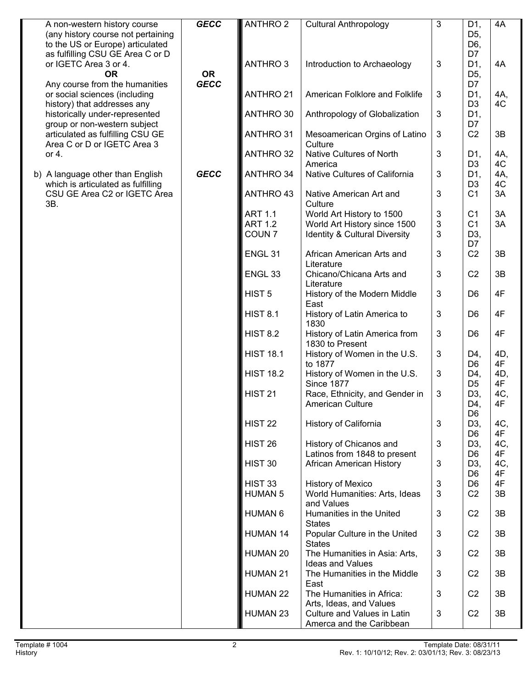| A non-western history course<br>(any history course not pertaining<br>to the US or Europe) articulated | <b>GECC</b>              | <b>ANTHRO 2</b>                      | <b>Cultural Anthropology</b>                                    | 3                 | D1,<br>D <sub>5</sub> ,<br>D6,   | 4A        |
|--------------------------------------------------------------------------------------------------------|--------------------------|--------------------------------------|-----------------------------------------------------------------|-------------------|----------------------------------|-----------|
| as fulfilling CSU GE Area C or D<br>or IGETC Area 3 or 4.<br><b>OR</b>                                 | <b>OR</b><br><b>GECC</b> | <b>ANTHRO 3</b>                      | Introduction to Archaeology                                     | 3                 | D7<br>D1,<br>D <sub>5</sub> ,    | 4A        |
| Any course from the humanities<br>or social sciences (including<br>history) that addresses any         |                          | <b>ANTHRO 21</b>                     | American Folklore and Folklife                                  | 3                 | D7<br>D1,<br>D <sub>3</sub>      | 4A,<br>4C |
| historically under-represented<br>group or non-western subject                                         |                          | ANTHRO 30                            | Anthropology of Globalization                                   | 3                 | D1,<br>D7                        |           |
| articulated as fulfilling CSU GE<br>Area C or D or IGETC Area 3                                        |                          | <b>ANTHRO 31</b>                     | Mesoamerican Orgins of Latino<br>Culture                        | 3                 | C <sub>2</sub>                   | 3B        |
| or 4.                                                                                                  |                          | <b>ANTHRO 32</b>                     | Native Cultures of North<br>America                             | $\mathbf{3}$      | D1,<br>D <sub>3</sub>            | 4A,<br>4C |
| b) A language other than English<br>which is articulated as fulfilling                                 | <b>GECC</b>              | <b>ANTHRO 34</b>                     | Native Cultures of California                                   | 3                 | D1,<br>D <sub>3</sub>            | 4A,<br>4C |
| CSU GE Area C2 or IGETC Area<br>3B.                                                                    |                          | ANTHRO 43<br><b>ART 1.1</b>          | Native American Art and<br>Culture<br>World Art History to 1500 | 3<br>3            | C <sub>1</sub><br>C <sub>1</sub> | 3A<br>3A  |
|                                                                                                        |                          | <b>ART 1.2</b>                       | World Art History since 1500                                    | 3                 | C <sub>1</sub>                   | 3A        |
|                                                                                                        |                          | COUN <sub>7</sub>                    | <b>Identity &amp; Cultural Diversity</b>                        | 3                 | D3,<br>D7                        |           |
|                                                                                                        |                          | ENGL <sub>31</sub>                   | African American Arts and<br>Literature                         | 3                 | C <sub>2</sub>                   | 3B        |
|                                                                                                        |                          | ENGL <sub>33</sub>                   | Chicano/Chicana Arts and<br>Literature                          | 3                 | C <sub>2</sub>                   | 3B        |
|                                                                                                        |                          | HIST <sub>5</sub>                    | History of the Modern Middle<br>East                            | 3                 | D <sub>6</sub>                   | 4F        |
|                                                                                                        |                          | <b>HIST 8.1</b>                      | History of Latin America to<br>1830                             | 3                 | D <sub>6</sub>                   | 4F        |
|                                                                                                        |                          | <b>HIST 8.2</b>                      | History of Latin America from<br>1830 to Present                | 3                 | D <sub>6</sub>                   | 4F        |
|                                                                                                        |                          | <b>HIST 18.1</b>                     | History of Women in the U.S.<br>to 1877                         | 3                 | D4,<br>D <sub>6</sub>            | 4D,<br>4F |
|                                                                                                        |                          | <b>HIST 18.2</b>                     | History of Women in the U.S.<br><b>Since 1877</b>               | 3                 | D4,<br>D <sub>5</sub>            | 4D,<br>4F |
|                                                                                                        |                          | <b>HIST 21</b>                       | Race, Ethnicity, and Gender in<br><b>American Culture</b>       | 3                 | D3,<br>D4,<br>D <sub>6</sub>     | 4C,<br>4F |
|                                                                                                        |                          | <b>HIST 22</b>                       | History of California                                           | 3                 | D3,<br>D <sub>6</sub>            | 4C,<br>4F |
|                                                                                                        |                          | HIST <sub>26</sub>                   | History of Chicanos and<br>Latinos from 1848 to present         | 3                 | D3,<br>D <sub>6</sub>            | 4C,<br>4F |
|                                                                                                        |                          | HIST 30                              | African American History                                        | 3                 | D <sub>3</sub><br>D <sub>6</sub> | 4C,<br>4F |
|                                                                                                        |                          | HIST <sub>33</sub><br><b>HUMAN 5</b> | History of Mexico<br>World Humanities: Arts, Ideas              | $\mathbf{3}$<br>3 | D <sub>6</sub><br>C <sub>2</sub> | 4F<br>3B  |
|                                                                                                        |                          | <b>HUMAN 6</b>                       | and Values<br>Humanities in the United<br><b>States</b>         | $\mathfrak{S}$    | C <sub>2</sub>                   | 3B        |
|                                                                                                        |                          | <b>HUMAN 14</b>                      | Popular Culture in the United<br><b>States</b>                  | 3                 | C <sub>2</sub>                   | 3B        |
|                                                                                                        |                          | HUMAN 20                             | The Humanities in Asia: Arts,<br><b>Ideas and Values</b>        | 3                 | C <sub>2</sub>                   | 3B        |
|                                                                                                        |                          | <b>HUMAN 21</b>                      | The Humanities in the Middle<br>East                            | 3                 | C <sub>2</sub>                   | 3B        |
|                                                                                                        |                          | HUMAN 22                             | The Humanities in Africa:<br>Arts, Ideas, and Values            | 3                 | C <sub>2</sub>                   | 3B        |
|                                                                                                        |                          | HUMAN 23                             | Culture and Values in Latin<br>Amerca and the Caribbean         | 3                 | C <sub>2</sub>                   | 3B        |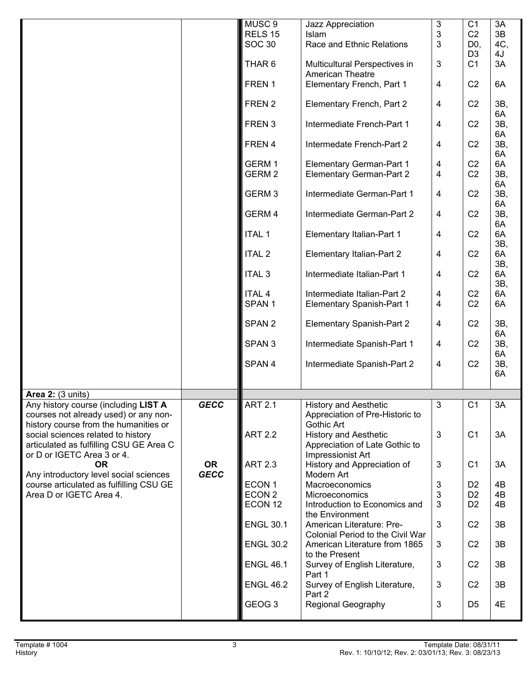|                                                                                                                        |                          | MUSC <sub>9</sub><br>RELS 15<br><b>SOC 30</b><br>THAR <sub>6</sub> | Jazz Appreciation<br>Islam<br>Race and Ethnic Relations<br>Multicultural Perspectives in | 3<br>3<br>3<br>3 | C <sub>1</sub><br>C <sub>2</sub><br>D <sub>0</sub><br>D <sub>3</sub><br>C <sub>1</sub> | 3A<br>3B<br>4C,<br>4J<br>3A |
|------------------------------------------------------------------------------------------------------------------------|--------------------------|--------------------------------------------------------------------|------------------------------------------------------------------------------------------|------------------|----------------------------------------------------------------------------------------|-----------------------------|
|                                                                                                                        |                          | FREN 1                                                             | American Theatre<br>Elementary French, Part 1                                            | 4                | C <sub>2</sub>                                                                         | 6A                          |
|                                                                                                                        |                          | FREN 2                                                             | Elementary French, Part 2                                                                | 4                | C <sub>2</sub>                                                                         | 3B,                         |
|                                                                                                                        |                          | FREN <sub>3</sub>                                                  | Intermediate French-Part 1                                                               | 4                | C <sub>2</sub>                                                                         | 6A<br>3B,<br>6A             |
|                                                                                                                        |                          | FREN 4                                                             | Intermedate French-Part 2                                                                | 4                | C <sub>2</sub>                                                                         | 3B,<br>6A                   |
|                                                                                                                        |                          | GERM 1<br>GERM <sub>2</sub>                                        | <b>Elementary German-Part 1</b><br><b>Elementary German-Part 2</b>                       | 4<br>4           | C <sub>2</sub><br>C <sub>2</sub>                                                       | 6A<br>3B,                   |
|                                                                                                                        |                          | GERM <sub>3</sub>                                                  | Intermediate German-Part 1                                                               | 4                | C <sub>2</sub>                                                                         | 6A<br>3B,<br>6A             |
|                                                                                                                        |                          | GERM 4                                                             | Intermediate German-Part 2                                                               | 4                | C <sub>2</sub>                                                                         | 3B,<br>6A                   |
|                                                                                                                        |                          | <b>ITAL 1</b>                                                      | <b>Elementary Italian-Part 1</b>                                                         | 4                | C <sub>2</sub>                                                                         | 6A<br>3B,                   |
|                                                                                                                        |                          | <b>ITAL 2</b>                                                      | Elementary Italian-Part 2                                                                | 4                | C <sub>2</sub>                                                                         | 6A<br>3B,                   |
|                                                                                                                        |                          | <b>ITAL 3</b>                                                      | Intermediate Italian-Part 1                                                              | 4                | C <sub>2</sub>                                                                         | 6A<br>3B,                   |
|                                                                                                                        |                          | <b>ITAL 4</b><br>SPAN <sub>1</sub>                                 | Intermediate Italian-Part 2<br><b>Elementary Spanish-Part 1</b>                          | 4<br>4           | C <sub>2</sub><br>C <sub>2</sub>                                                       | 6A<br>6A                    |
|                                                                                                                        |                          | SPAN <sub>2</sub>                                                  | <b>Elementary Spanish-Part 2</b>                                                         | 4                | C <sub>2</sub>                                                                         | 3B,<br>6A                   |
|                                                                                                                        |                          | SPAN <sub>3</sub>                                                  | Intermediate Spanish-Part 1                                                              | 4                | C <sub>2</sub>                                                                         | 3B,<br>6A                   |
|                                                                                                                        |                          | SPAN 4                                                             | Intermediate Spanish-Part 2                                                              | $\overline{4}$   | C <sub>2</sub>                                                                         | 3B,<br>6A                   |
| <b>Area 2: (3 units)</b>                                                                                               |                          |                                                                    |                                                                                          |                  |                                                                                        |                             |
| Any history course (including LIST A<br>courses not already used) or any non-<br>history course from the humanities or | <b>GECC</b>              | <b>ART 2.1</b>                                                     | <b>History and Aesthetic</b><br>Appreciation of Pre-Historic to<br>Gothic Art            | 3                | C <sub>1</sub>                                                                         | 3A                          |
| social sciences related to history<br>articulated as fulfilling CSU GE Area C<br>or D or IGETC Area 3 or 4.            |                          | <b>ART 2.2</b>                                                     | <b>History and Aesthetic</b><br>Appreciation of Late Gothic to<br>Impressionist Art      | 3                | C <sub>1</sub>                                                                         | 3A                          |
| <b>OR</b><br>Any introductory level social sciences                                                                    | <b>OR</b><br><b>GECC</b> | <b>ART 2.3</b>                                                     | History and Appreciation of<br>Modern Art                                                | 3                | C <sub>1</sub>                                                                         | 3A                          |
| course articulated as fulfilling CSU GE                                                                                |                          | ECON 1                                                             | Macroeconomics                                                                           | 3                | D <sub>2</sub>                                                                         | 4B                          |
| Area D or IGETC Area 4.                                                                                                |                          | ECON <sub>2</sub><br>ECON <sub>12</sub>                            | Microeconomics<br>Introduction to Economics and                                          | 3<br>3           | D <sub>2</sub><br>D <sub>2</sub>                                                       | 4B<br>4B                    |
|                                                                                                                        |                          |                                                                    | the Environment                                                                          |                  |                                                                                        |                             |
|                                                                                                                        |                          | <b>ENGL 30.1</b>                                                   | American Literature: Pre-<br>Colonial Period to the Civil War                            | 3                | C <sub>2</sub>                                                                         | 3B                          |
|                                                                                                                        |                          | <b>ENGL 30.2</b>                                                   | American Literature from 1865<br>to the Present                                          | 3                | C <sub>2</sub>                                                                         | 3B                          |
|                                                                                                                        |                          | <b>ENGL 46.1</b>                                                   | Survey of English Literature,<br>Part 1                                                  | 3                | C <sub>2</sub>                                                                         | 3B                          |
|                                                                                                                        |                          | <b>ENGL 46.2</b>                                                   | Survey of English Literature,<br>Part 2                                                  | 3                | C <sub>2</sub>                                                                         | 3B                          |
|                                                                                                                        |                          | GEOG <sub>3</sub>                                                  | Regional Geography                                                                       | 3                | D <sub>5</sub>                                                                         | 4E                          |